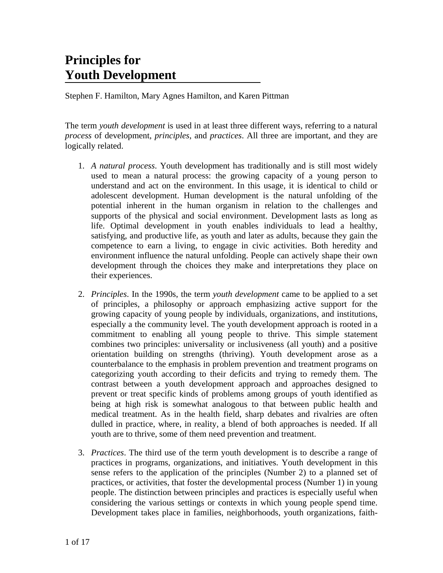# **Principles for Youth Development**

Stephen F. Hamilton, Mary Agnes Hamilton, and Karen Pittman

The term *youth development* is used in at least three different ways, referring to a natural *process* of development, *principles*, and *practices*. All three are important, and they are logically related.

- 1. *A natural process*. Youth development has traditionally and is still most widely used to mean a natural process: the growing capacity of a young person to understand and act on the environment. In this usage, it is identical to child or adolescent development. Human development is the natural unfolding of the potential inherent in the human organism in relation to the challenges and supports of the physical and social environment. Development lasts as long as life. Optimal development in youth enables individuals to lead a healthy, satisfying, and productive life, as youth and later as adults, because they gain the competence to earn a living, to engage in civic activities. Both heredity and environment influence the natural unfolding. People can actively shape their own development through the choices they make and interpretations they place on their experiences.
- 2. *Principles*. In the 1990s, the term *youth development* came to be applied to a set of principles, a philosophy or approach emphasizing active support for the growing capacity of young people by individuals, organizations, and institutions, especially a the community level. The youth development approach is rooted in a commitment to enabling all young people to thrive. This simple statement combines two principles: universality or inclusiveness (all youth) and a positive orientation building on strengths (thriving). Youth development arose as a counterbalance to the emphasis in problem prevention and treatment programs on categorizing youth according to their deficits and trying to remedy them. The contrast between a youth development approach and approaches designed to prevent or treat specific kinds of problems among groups of youth identified as being at high risk is somewhat analogous to that between public health and medical treatment. As in the health field, sharp debates and rivalries are often dulled in practice, where, in reality, a blend of both approaches is needed. If all youth are to thrive, some of them need prevention and treatment.
- 3. *Practices*. The third use of the term youth development is to describe a range of practices in programs, organizations, and initiatives. Youth development in this sense refers to the application of the principles (Number 2) to a planned set of practices, or activities, that foster the developmental process (Number 1) in young people. The distinction between principles and practices is especially useful when considering the various settings or contexts in which young people spend time. Development takes place in families, neighborhoods, youth organizations, faith-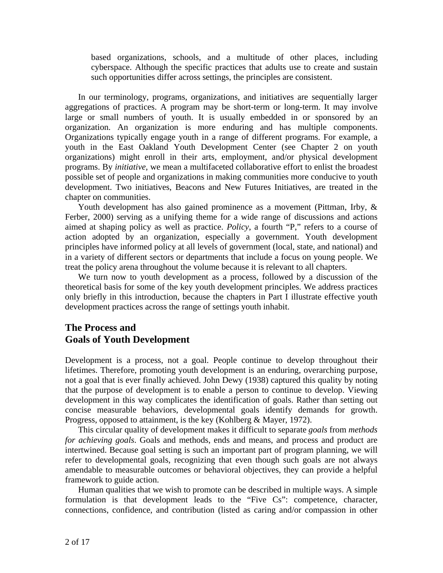based organizations, schools, and a multitude of other places, including cyberspace. Although the specific practices that adults use to create and sustain such opportunities differ across settings, the principles are consistent.

In our terminology, programs, organizations, and initiatives are sequentially larger aggregations of practices. A program may be short-term or long-term. It may involve large or small numbers of youth. It is usually embedded in or sponsored by an organization. An organization is more enduring and has multiple components. Organizations typically engage youth in a range of different programs. For example, a youth in the East Oakland Youth Development Center (see Chapter 2 on youth organizations) might enroll in their arts, employment, and/or physical development programs. By *initiative*, we mean a multifaceted collaborative effort to enlist the broadest possible set of people and organizations in making communities more conducive to youth development. Two initiatives, Beacons and New Futures Initiatives, are treated in the chapter on communities.

Youth development has also gained prominence as a movement (Pittman, Irby, & Ferber, 2000) serving as a unifying theme for a wide range of discussions and actions aimed at shaping policy as well as practice. *Policy*, a fourth "P," refers to a course of action adopted by an organization, especially a government. Youth development principles have informed policy at all levels of government (local, state, and national) and in a variety of different sectors or departments that include a focus on young people. We treat the policy arena throughout the volume because it is relevant to all chapters.

 We turn now to youth development as a process, followed by a discussion of the theoretical basis for some of the key youth development principles. We address practices only briefly in this introduction, because the chapters in Part I illustrate effective youth development practices across the range of settings youth inhabit.

## **The Process and Goals of Youth Development**

Development is a process, not a goal. People continue to develop throughout their lifetimes. Therefore, promoting youth development is an enduring, overarching purpose, not a goal that is ever finally achieved. John Dewy (1938) captured this quality by noting that the purpose of development is to enable a person to continue to develop. Viewing development in this way complicates the identification of goals. Rather than setting out concise measurable behaviors, developmental goals identify demands for growth. Progress, opposed to attainment, is the key (Kohlberg & Mayer, 1972).

 This circular quality of development makes it difficult to separate *goals* from *methods for achieving goals*. Goals and methods, ends and means, and process and product are intertwined. Because goal setting is such an important part of program planning, we will refer to developmental goals, recognizing that even though such goals are not always amendable to measurable outcomes or behavioral objectives, they can provide a helpful framework to guide action.

 Human qualities that we wish to promote can be described in multiple ways. A simple formulation is that development leads to the "Five Cs": competence, character, connections, confidence, and contribution (listed as caring and/or compassion in other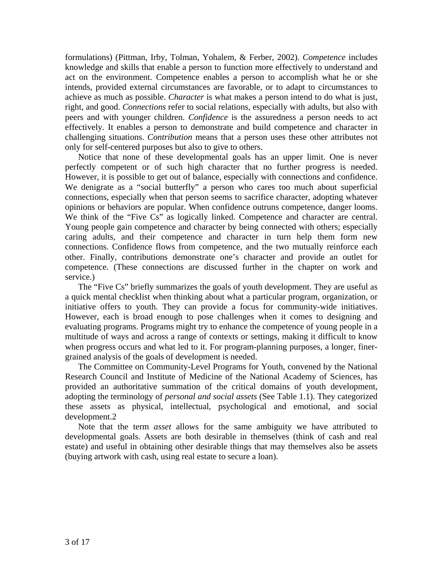formulations) (Pittman, Irby, Tolman, Yohalem, & Ferber, 2002). *Competence* includes knowledge and skills that enable a person to function more effectively to understand and act on the environment. Competence enables a person to accomplish what he or she intends, provided external circumstances are favorable, or to adapt to circumstances to achieve as much as possible. *Character* is what makes a person intend to do what is just, right, and good. *Connections* refer to social relations, especially with adults, but also with peers and with younger children. *Confidence* is the assuredness a person needs to act effectively. It enables a person to demonstrate and build competence and character in challenging situations. *Contribution* means that a person uses these other attributes not only for self-centered purposes but also to give to others.

 Notice that none of these developmental goals has an upper limit. One is never perfectly competent or of such high character that no further progress is needed. However, it is possible to get out of balance, especially with connections and confidence. We denigrate as a "social butterfly" a person who cares too much about superficial connections, especially when that person seems to sacrifice character, adopting whatever opinions or behaviors are popular. When confidence outruns competence, danger looms. We think of the "Five Cs" as logically linked. Competence and character are central. Young people gain competence and character by being connected with others; especially caring adults, and their competence and character in turn help them form new connections. Confidence flows from competence, and the two mutually reinforce each other. Finally, contributions demonstrate one's character and provide an outlet for competence. (These connections are discussed further in the chapter on work and service.)

 The "Five Cs" briefly summarizes the goals of youth development. They are useful as a quick mental checklist when thinking about what a particular program, organization, or initiative offers to youth. They can provide a focus for community-wide initiatives. However, each is broad enough to pose challenges when it comes to designing and evaluating programs. Programs might try to enhance the competence of young people in a multitude of ways and across a range of contexts or settings, making it difficult to know when progress occurs and what led to it. For program-planning purposes, a longer, finergrained analysis of the goals of development is needed.

 The Committee on Community-Level Programs for Youth, convened by the National Research Council and Institute of Medicine of the National Academy of Sciences, has provided an authoritative summation of the critical domains of youth development, adopting the terminology of *personal and social assets* (See Table 1.1). They categorized these assets as physical, intellectual, psychological and emotional, and social development.2

 Note that the term *asset* allows for the same ambiguity we have attributed to developmental goals. Assets are both desirable in themselves (think of cash and real estate) and useful in obtaining other desirable things that may themselves also be assets (buying artwork with cash, using real estate to secure a loan).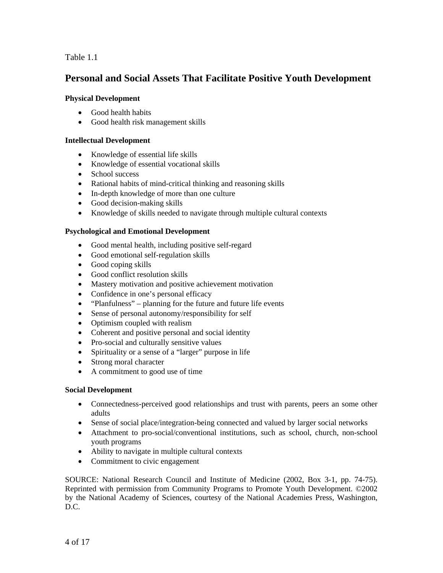Table 1.1

## **Personal and Social Assets That Facilitate Positive Youth Development**

### **Physical Development**

- Good health habits
- Good health risk management skills

### **Intellectual Development**

- Knowledge of essential life skills
- Knowledge of essential vocational skills
- School success
- Rational habits of mind-critical thinking and reasoning skills
- In-depth knowledge of more than one culture
- Good decision-making skills
- Knowledge of skills needed to navigate through multiple cultural contexts

#### **Psychological and Emotional Development**

- Good mental health, including positive self-regard
- Good emotional self-regulation skills
- Good coping skills
- Good conflict resolution skills
- Mastery motivation and positive achievement motivation
- Confidence in one's personal efficacy
- "Planfulness" planning for the future and future life events
- Sense of personal autonomy/responsibility for self
- Optimism coupled with realism
- Coherent and positive personal and social identity
- Pro-social and culturally sensitive values
- Spirituality or a sense of a "larger" purpose in life
- Strong moral character
- A commitment to good use of time

### **Social Development**

- Connectedness-perceived good relationships and trust with parents, peers an some other adults
- Sense of social place/integration-being connected and valued by larger social networks
- Attachment to pro-social/conventional institutions, such as school, church, non-school youth programs
- Ability to navigate in multiple cultural contexts
- Commitment to civic engagement

SOURCE: National Research Council and Institute of Medicine (2002, Box 3-1, pp. 74-75). Reprinted with permission from Community Programs to Promote Youth Development. ©2002 by the National Academy of Sciences, courtesy of the National Academies Press, Washington, D.C.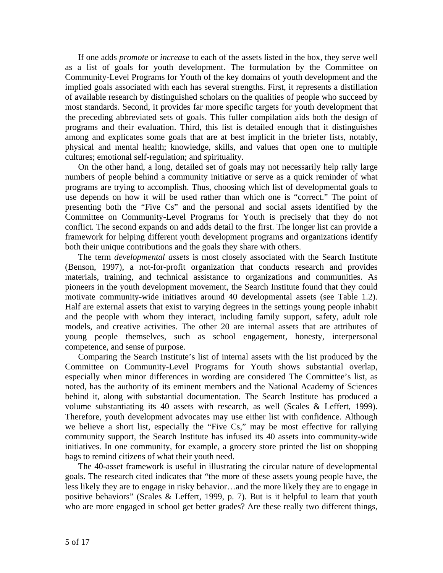If one adds *promote* or *increase* to each of the assets listed in the box, they serve well as a list of goals for youth development. The formulation by the Committee on Community-Level Programs for Youth of the key domains of youth development and the implied goals associated with each has several strengths. First, it represents a distillation of available research by distinguished scholars on the qualities of people who succeed by most standards. Second, it provides far more specific targets for youth development that the preceding abbreviated sets of goals. This fuller compilation aids both the design of programs and their evaluation. Third, this list is detailed enough that it distinguishes among and explicates some goals that are at best implicit in the briefer lists, notably, physical and mental health; knowledge, skills, and values that open one to multiple cultures; emotional self-regulation; and spirituality.

 On the other hand, a long, detailed set of goals may not necessarily help rally large numbers of people behind a community initiative or serve as a quick reminder of what programs are trying to accomplish. Thus, choosing which list of developmental goals to use depends on how it will be used rather than which one is "correct." The point of presenting both the "Five Cs" and the personal and social assets identified by the Committee on Community-Level Programs for Youth is precisely that they do not conflict. The second expands on and adds detail to the first. The longer list can provide a framework for helping different youth development programs and organizations identify both their unique contributions and the goals they share with others.

 The term *developmental assets* is most closely associated with the Search Institute (Benson, 1997), a not-for-profit organization that conducts research and provides materials, training, and technical assistance to organizations and communities. As pioneers in the youth development movement, the Search Institute found that they could motivate community-wide initiatives around 40 developmental assets (see Table 1.2). Half are external assets that exist to varying degrees in the settings young people inhabit and the people with whom they interact, including family support, safety, adult role models, and creative activities. The other 20 are internal assets that are attributes of young people themselves, such as school engagement, honesty, interpersonal competence, and sense of purpose.

 Comparing the Search Institute's list of internal assets with the list produced by the Committee on Community-Level Programs for Youth shows substantial overlap, especially when minor differences in wording are considered The Committee's list, as noted, has the authority of its eminent members and the National Academy of Sciences behind it, along with substantial documentation. The Search Institute has produced a volume substantiating its 40 assets with research, as well (Scales & Leffert, 1999). Therefore, youth development advocates may use either list with confidence. Although we believe a short list, especially the "Five Cs," may be most effective for rallying community support, the Search Institute has infused its 40 assets into community-wide initiatives. In one community, for example, a grocery store printed the list on shopping bags to remind citizens of what their youth need.

 The 40-asset framework is useful in illustrating the circular nature of developmental goals. The research cited indicates that "the more of these assets young people have, the less likely they are to engage in risky behavior…and the more likely they are to engage in positive behaviors" (Scales & Leffert, 1999, p. 7). But is it helpful to learn that youth who are more engaged in school get better grades? Are these really two different things,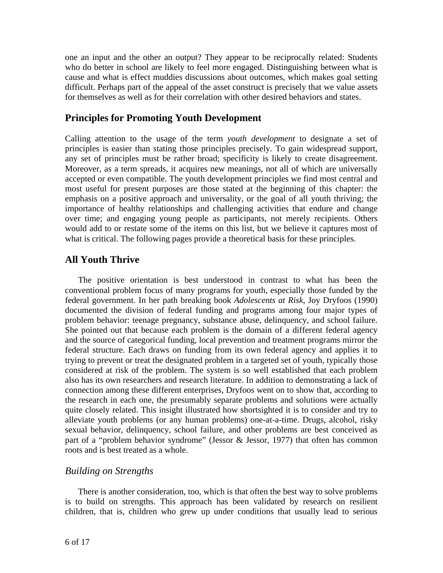one an input and the other an output? They appear to be reciprocally related: Students who do better in school are likely to feel more engaged. Distinguishing between what is cause and what is effect muddies discussions about outcomes, which makes goal setting difficult. Perhaps part of the appeal of the asset construct is precisely that we value assets for themselves as well as for their correlation with other desired behaviors and states.

## **Principles for Promoting Youth Development**

Calling attention to the usage of the term *youth development* to designate a set of principles is easier than stating those principles precisely. To gain widespread support, any set of principles must be rather broad; specificity is likely to create disagreement. Moreover, as a term spreads, it acquires new meanings, not all of which are universally accepted or even compatible. The youth development principles we find most central and most useful for present purposes are those stated at the beginning of this chapter: the emphasis on a positive approach and universality, or the goal of all youth thriving; the importance of healthy relationships and challenging activities that endure and change over time; and engaging young people as participants, not merely recipients. Others would add to or restate some of the items on this list, but we believe it captures most of what is critical. The following pages provide a theoretical basis for these principles.

## **All Youth Thrive**

 The positive orientation is best understood in contrast to what has been the conventional problem focus of many programs for youth, especially those funded by the federal government. In her path breaking book *Adolescents at Risk*, Joy Dryfoos (1990) documented the division of federal funding and programs among four major types of problem behavior: teenage pregnancy, substance abuse, delinquency, and school failure. She pointed out that because each problem is the domain of a different federal agency and the source of categorical funding, local prevention and treatment programs mirror the federal structure. Each draws on funding from its own federal agency and applies it to trying to prevent or treat the designated problem in a targeted set of youth, typically those considered at risk of the problem. The system is so well established that each problem also has its own researchers and research literature. In addition to demonstrating a lack of connection among these different enterprises, Dryfoos went on to show that, according to the research in each one, the presumably separate problems and solutions were actually quite closely related. This insight illustrated how shortsighted it is to consider and try to alleviate youth problems (or any human problems) one-at-a-time. Drugs, alcohol, risky sexual behavior, delinquency, school failure, and other problems are best conceived as part of a "problem behavior syndrome" (Jessor & Jessor, 1977) that often has common roots and is best treated as a whole.

## *Building on Strengths*

 There is another consideration, too, which is that often the best way to solve problems is to build on strengths. This approach has been validated by research on resilient children, that is, children who grew up under conditions that usually lead to serious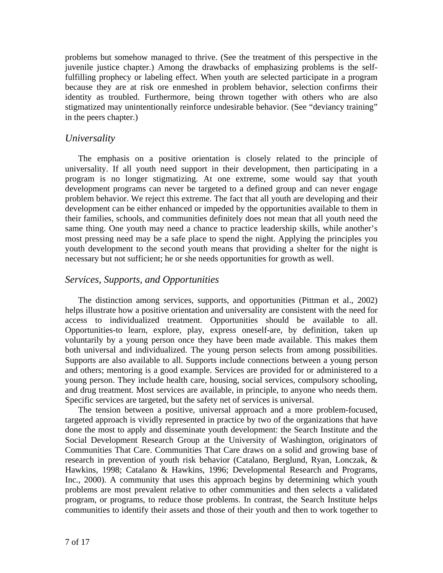problems but somehow managed to thrive. (See the treatment of this perspective in the juvenile justice chapter.) Among the drawbacks of emphasizing problems is the selffulfilling prophecy or labeling effect. When youth are selected participate in a program because they are at risk ore enmeshed in problem behavior, selection confirms their identity as troubled. Furthermore, being thrown together with others who are also stigmatized may unintentionally reinforce undesirable behavior. (See "deviancy training" in the peers chapter.)

### *Universality*

 The emphasis on a positive orientation is closely related to the principle of universality. If all youth need support in their development, then participating in a program is no longer stigmatizing. At one extreme, some would say that youth development programs can never be targeted to a defined group and can never engage problem behavior. We reject this extreme. The fact that all youth are developing and their development can be either enhanced or impeded by the opportunities available to them in their families, schools, and communities definitely does not mean that all youth need the same thing. One youth may need a chance to practice leadership skills, while another's most pressing need may be a safe place to spend the night. Applying the principles you youth development to the second youth means that providing a shelter for the night is necessary but not sufficient; he or she needs opportunities for growth as well.

## *Services, Supports, and Opportunities*

 The distinction among services, supports, and opportunities (Pittman et al., 2002) helps illustrate how a positive orientation and universality are consistent with the need for access to individualized treatment. Opportunities should be available to all. Opportunities-to learn, explore, play, express oneself-are, by definition, taken up voluntarily by a young person once they have been made available. This makes them both universal and individualized. The young person selects from among possibilities. Supports are also available to all. Supports include connections between a young person and others; mentoring is a good example. Services are provided for or administered to a young person. They include health care, housing, social services, compulsory schooling, and drug treatment. Most services are available, in principle, to anyone who needs them. Specific services are targeted, but the safety net of services is universal.

 The tension between a positive, universal approach and a more problem-focused, targeted approach is vividly represented in practice by two of the organizations that have done the most to apply and disseminate youth development: the Search Institute and the Social Development Research Group at the University of Washington, originators of Communities That Care. Communities That Care draws on a solid and growing base of research in prevention of youth risk behavior (Catalano, Berglund, Ryan, Lonczak, & Hawkins, 1998; Catalano & Hawkins, 1996; Developmental Research and Programs, Inc., 2000). A community that uses this approach begins by determining which youth problems are most prevalent relative to other communities and then selects a validated program, or programs, to reduce those problems. In contrast, the Search Institute helps communities to identify their assets and those of their youth and then to work together to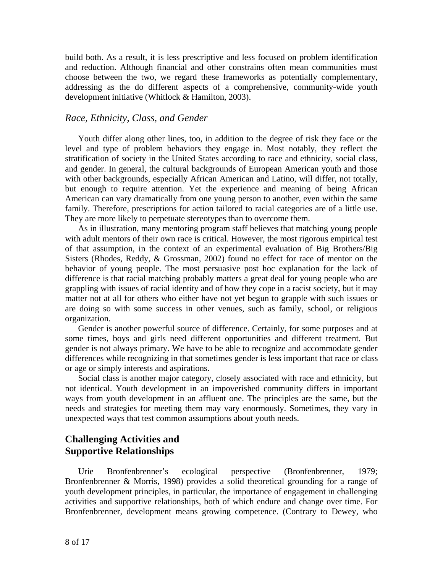build both. As a result, it is less prescriptive and less focused on problem identification and reduction. Although financial and other constrains often mean communities must choose between the two, we regard these frameworks as potentially complementary, addressing as the do different aspects of a comprehensive, community-wide youth development initiative (Whitlock & Hamilton, 2003).

### *Race, Ethnicity, Class, and Gender*

 Youth differ along other lines, too, in addition to the degree of risk they face or the level and type of problem behaviors they engage in. Most notably, they reflect the stratification of society in the United States according to race and ethnicity, social class, and gender. In general, the cultural backgrounds of European American youth and those with other backgrounds, especially African American and Latino, will differ, not totally, but enough to require attention. Yet the experience and meaning of being African American can vary dramatically from one young person to another, even within the same family. Therefore, prescriptions for action tailored to racial categories are of a little use. They are more likely to perpetuate stereotypes than to overcome them.

 As in illustration, many mentoring program staff believes that matching young people with adult mentors of their own race is critical. However, the most rigorous empirical test of that assumption, in the context of an experimental evaluation of Big Brothers/Big Sisters (Rhodes, Reddy, & Grossman, 2002) found no effect for race of mentor on the behavior of young people. The most persuasive post hoc explanation for the lack of difference is that racial matching probably matters a great deal for young people who are grappling with issues of racial identity and of how they cope in a racist society, but it may matter not at all for others who either have not yet begun to grapple with such issues or are doing so with some success in other venues, such as family, school, or religious organization.

 Gender is another powerful source of difference. Certainly, for some purposes and at some times, boys and girls need different opportunities and different treatment. But gender is not always primary. We have to be able to recognize and accommodate gender differences while recognizing in that sometimes gender is less important that race or class or age or simply interests and aspirations.

 Social class is another major category, closely associated with race and ethnicity, but not identical. Youth development in an impoverished community differs in important ways from youth development in an affluent one. The principles are the same, but the needs and strategies for meeting them may vary enormously. Sometimes, they vary in unexpected ways that test common assumptions about youth needs.

## **Challenging Activities and Supportive Relationships**

 Urie Bronfenbrenner's ecological perspective (Bronfenbrenner, 1979; Bronfenbrenner & Morris, 1998) provides a solid theoretical grounding for a range of youth development principles, in particular, the importance of engagement in challenging activities and supportive relationships, both of which endure and change over time. For Bronfenbrenner, development means growing competence. (Contrary to Dewey, who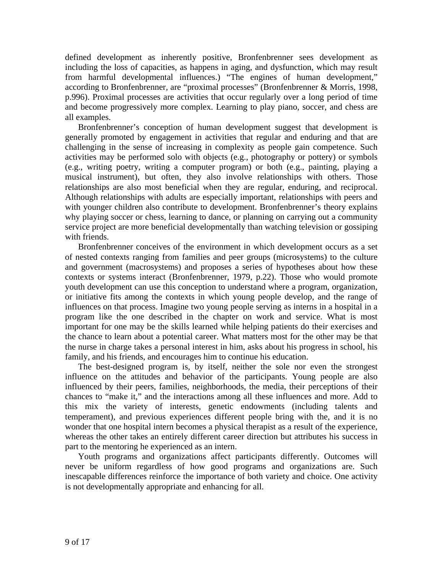defined development as inherently positive, Bronfenbrenner sees development as including the loss of capacities, as happens in aging, and dysfunction, which may result from harmful developmental influences.) "The engines of human development," according to Bronfenbrenner, are "proximal processes" (Bronfenbrenner & Morris, 1998, p.996). Proximal processes are activities that occur regularly over a long period of time and become progressively more complex. Learning to play piano, soccer, and chess are all examples.

 Bronfenbrenner's conception of human development suggest that development is generally promoted by engagement in activities that regular and enduring and that are challenging in the sense of increasing in complexity as people gain competence. Such activities may be performed solo with objects (e.g., photography or pottery) or symbols (e.g., writing poetry, writing a computer program) or both (e.g., painting, playing a musical instrument), but often, they also involve relationships with others. Those relationships are also most beneficial when they are regular, enduring, and reciprocal. Although relationships with adults are especially important, relationships with peers and with younger children also contribute to development. Bronfenbrenner's theory explains why playing soccer or chess, learning to dance, or planning on carrying out a community service project are more beneficial developmentally than watching television or gossiping with friends.

 Bronfenbrenner conceives of the environment in which development occurs as a set of nested contexts ranging from families and peer groups (microsystems) to the culture and government (macrosystems) and proposes a series of hypotheses about how these contexts or systems interact (Bronfenbrenner, 1979, p.22). Those who would promote youth development can use this conception to understand where a program, organization, or initiative fits among the contexts in which young people develop, and the range of influences on that process. Imagine two young people serving as interns in a hospital in a program like the one described in the chapter on work and service. What is most important for one may be the skills learned while helping patients do their exercises and the chance to learn about a potential career. What matters most for the other may be that the nurse in charge takes a personal interest in him, asks about his progress in school, his family, and his friends, and encourages him to continue his education.

 The best-designed program is, by itself, neither the sole nor even the strongest influence on the attitudes and behavior of the participants. Young people are also influenced by their peers, families, neighborhoods, the media, their perceptions of their chances to "make it," and the interactions among all these influences and more. Add to this mix the variety of interests, genetic endowments (including talents and temperament), and previous experiences different people bring with the, and it is no wonder that one hospital intern becomes a physical therapist as a result of the experience, whereas the other takes an entirely different career direction but attributes his success in part to the mentoring he experienced as an intern.

 Youth programs and organizations affect participants differently. Outcomes will never be uniform regardless of how good programs and organizations are. Such inescapable differences reinforce the importance of both variety and choice. One activity is not developmentally appropriate and enhancing for all.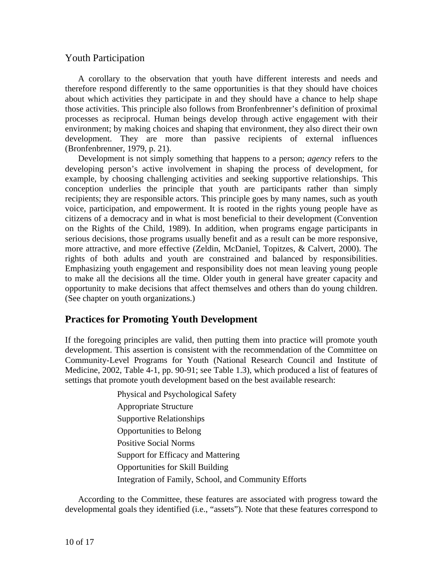## Youth Participation

 A corollary to the observation that youth have different interests and needs and therefore respond differently to the same opportunities is that they should have choices about which activities they participate in and they should have a chance to help shape those activities. This principle also follows from Bronfenbrenner's definition of proximal processes as reciprocal. Human beings develop through active engagement with their environment; by making choices and shaping that environment, they also direct their own development. They are more than passive recipients of external influences (Bronfenbrenner, 1979, p. 21).

 Development is not simply something that happens to a person; *agency* refers to the developing person's active involvement in shaping the process of development, for example, by choosing challenging activities and seeking supportive relationships. This conception underlies the principle that youth are participants rather than simply recipients; they are responsible actors. This principle goes by many names, such as youth voice, participation, and empowerment. It is rooted in the rights young people have as citizens of a democracy and in what is most beneficial to their development (Convention on the Rights of the Child, 1989). In addition, when programs engage participants in serious decisions, those programs usually benefit and as a result can be more responsive, more attractive, and more effective (Zeldin, McDaniel, Topitzes, & Calvert, 2000). The rights of both adults and youth are constrained and balanced by responsibilities. Emphasizing youth engagement and responsibility does not mean leaving young people to make all the decisions all the time. Older youth in general have greater capacity and opportunity to make decisions that affect themselves and others than do young children. (See chapter on youth organizations.)

## **Practices for Promoting Youth Development**

If the foregoing principles are valid, then putting them into practice will promote youth development. This assertion is consistent with the recommendation of the Committee on Community-Level Programs for Youth (National Research Council and Institute of Medicine, 2002, Table 4-1, pp. 90-91; see Table 1.3), which produced a list of features of settings that promote youth development based on the best available research:

> Physical and Psychological Safety Appropriate Structure Supportive Relationships Opportunities to Belong Positive Social Norms Support for Efficacy and Mattering Opportunities for Skill Building Integration of Family, School, and Community Efforts

 According to the Committee, these features are associated with progress toward the developmental goals they identified (i.e., "assets"). Note that these features correspond to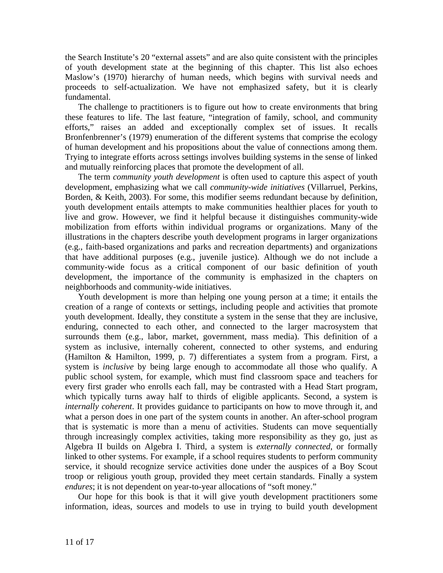the Search Institute's 20 "external assets" and are also quite consistent with the principles of youth development state at the beginning of this chapter. This list also echoes Maslow's (1970) hierarchy of human needs, which begins with survival needs and proceeds to self-actualization. We have not emphasized safety, but it is clearly fundamental.

 The challenge to practitioners is to figure out how to create environments that bring these features to life. The last feature, "integration of family, school, and community efforts," raises an added and exceptionally complex set of issues. It recalls Bronfenbrenner's (1979) enumeration of the different systems that comprise the ecology of human development and his propositions about the value of connections among them. Trying to integrate efforts across settings involves building systems in the sense of linked and mutually reinforcing places that promote the development of all.

 The term *community youth development* is often used to capture this aspect of youth development, emphasizing what we call *community-wide initiatives* (Villarruel, Perkins, Borden, & Keith, 2003). For some, this modifier seems redundant because by definition, youth development entails attempts to make communities healthier places for youth to live and grow. However, we find it helpful because it distinguishes community-wide mobilization from efforts within individual programs or organizations. Many of the illustrations in the chapters describe youth development programs in larger organizations (e.g., faith-based organizations and parks and recreation departments) and organizations that have additional purposes (e.g., juvenile justice). Although we do not include a community-wide focus as a critical component of our basic definition of youth development, the importance of the community is emphasized in the chapters on neighborhoods and community-wide initiatives.

 Youth development is more than helping one young person at a time; it entails the creation of a range of contexts or settings, including people and activities that promote youth development. Ideally, they constitute a system in the sense that they are inclusive, enduring, connected to each other, and connected to the larger macrosystem that surrounds them (e.g., labor, market, government, mass media). This definition of a system as inclusive, internally coherent, connected to other systems, and enduring (Hamilton & Hamilton, 1999, p. 7) differentiates a system from a program. First, a system is *inclusive* by being large enough to accommodate all those who qualify. A public school system, for example, which must find classroom space and teachers for every first grader who enrolls each fall, may be contrasted with a Head Start program, which typically turns away half to thirds of eligible applicants. Second, a system is *internally coherent*. It provides guidance to participants on how to move through it, and what a person does in one part of the system counts in another. An after-school program that is systematic is more than a menu of activities. Students can move sequentially through increasingly complex activities, taking more responsibility as they go, just as Algebra II builds on Algebra I. Third, a system is *externally connected*, or formally linked to other systems. For example, if a school requires students to perform community service, it should recognize service activities done under the auspices of a Boy Scout troop or religious youth group, provided they meet certain standards. Finally a system *endures*; it is not dependent on year-to-year allocations of "soft money."

 Our hope for this book is that it will give youth development practitioners some information, ideas, sources and models to use in trying to build youth development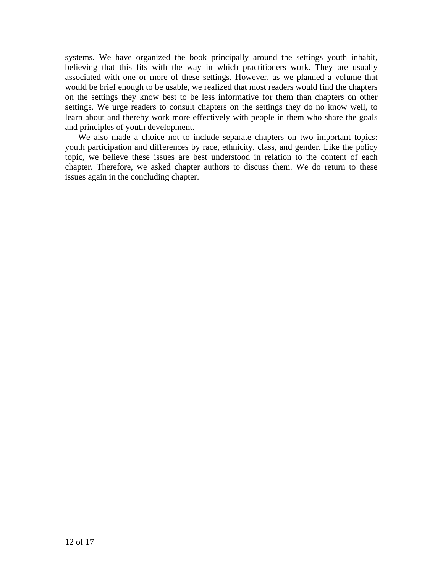systems. We have organized the book principally around the settings youth inhabit, believing that this fits with the way in which practitioners work. They are usually associated with one or more of these settings. However, as we planned a volume that would be brief enough to be usable, we realized that most readers would find the chapters on the settings they know best to be less informative for them than chapters on other settings. We urge readers to consult chapters on the settings they do no know well, to learn about and thereby work more effectively with people in them who share the goals and principles of youth development.

 We also made a choice not to include separate chapters on two important topics: youth participation and differences by race, ethnicity, class, and gender. Like the policy topic, we believe these issues are best understood in relation to the content of each chapter. Therefore, we asked chapter authors to discuss them. We do return to these issues again in the concluding chapter.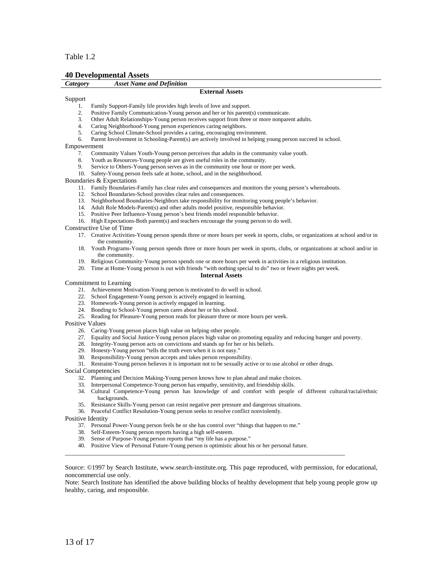#### Table 1.2

#### **40 Developmental Assets**

| Category | <b>Asset Name and Definition</b> |                        |  |
|----------|----------------------------------|------------------------|--|
|          |                                  | <b>External Assets</b> |  |

#### Support

- 1. Family Support-Family life provides high levels of love and support.
- 2. Positive Family Communication-Young person and her or his parent(s) communicate.
- 3. Other Adult Relationships-Young person receives support from three or more nonparent adults.
- 4. Caring Neighborhood-Young person experiences caring neighbors.
- 5. Caring School Climate-School provides a caring, encouraging environment.
- 6. Parent Involvement in Schooling-Parent(s) are actively involved in helping young person succeed in school.

#### Empowerment

- 7. Community Values Youth-Young person perceives that adults in the community value youth.
- 8. Youth as Resources-Young people are given useful roles in the community.
- 9. Service to Others-Young person serves as in the community one hour or more per week.
- 10. Safety-Young person feels safe at home, school, and in the neighborhood.

Boundaries & Expectations

- 11. Family Boundaries-Family has clear rules and consequences and monitors the young person's whereabouts.
- 12. School Boundaries-School provides clear rules and consequences.
- 13. Neighborhood Boundaries-Neighbors take responsibility for monitoring young people's behavior.
- 14. Adult Role Models-Parent(s) and other adults model positive, responsible behavior.
- 15. Positive Peer Influence-Young person's best friends model responsible behavior.
- 16. High Expectations-Both parent(s) and teachers encourage the young person to do well.

Constructive Use of Time

- 17. Creative Activities-Young person spends three or more hours per week in sports, clubs, or organizations at school and/or in the community.
- 18. Youth Programs-Young person spends three or more hours per week in sports, clubs, or organizations at school and/or in the community.
- 19. Religious Community-Young person spends one or more hours per week in activities in a religious institution.
- 20. Time at Home-Young person is out with friends "with nothing special to do" two or fewer nights per week.

#### **Internal Assets**

#### Commitment to Learning

- 21. Achievement Motivation-Young person is motivated to do well in school.
- 22. School Engagement-Young person is actively engaged in learning.
- 23. Homework-Young person is actively engaged in learning.
- 24. Bonding to School-Young person cares about her or his school.
- 25. Reading for Pleasure-Young person reads for pleasure three or more hours per week.

Positive Values

- 26. Caring-Young person places high value on helping other people.
- 27. Equality and Social Justice-Young person places high value on promoting equality and reducing hunger and poverty.
- 28. Integrity-Young person acts on convictions and stands up for her or his beliefs.
- 29. Honesty-Young person "tells the truth even when it is not easy."
- 30. Responsibility-Young person accepts and takes person responsibility.
- 31. Restraint-Young person believes it is important not to be sexually active or to use alcohol or other drugs.

Social Competencies

- 32. Planning and Decision Making-Young person knows how to plan ahead and make choices.
- 33. Interpersonal Competence-Young person has empathy, sensitivity, and friendship skills.
- 34. Cultural Competence-Young person has knowledge of and comfort with people of different cultural/racial/ethnic backgrounds.
- 35. Resistance Skills-Young person can resist negative peer pressure and dangerous situations.
- 36. Peaceful Conflict Resolution-Young person seeks to resolve conflict nonviolently.

Positive Identity

- 37. Personal Power-Young person feels he or she has control over "things that happen to me."
- 38. Self-Esteem-Young person reports having a high self-esteem.
- 39. Sense of Purpose-Young person reports that "my life has a purpose."
- 40. Positive View of Personal Future-Young person is optimistic about his or her personal future.

 $\overline{\phantom{a}}$  ,  $\overline{\phantom{a}}$  ,  $\overline{\phantom{a}}$  ,  $\overline{\phantom{a}}$  ,  $\overline{\phantom{a}}$  ,  $\overline{\phantom{a}}$  ,  $\overline{\phantom{a}}$  ,  $\overline{\phantom{a}}$  ,  $\overline{\phantom{a}}$  ,  $\overline{\phantom{a}}$  ,  $\overline{\phantom{a}}$  ,  $\overline{\phantom{a}}$  ,  $\overline{\phantom{a}}$  ,  $\overline{\phantom{a}}$  ,  $\overline{\phantom{a}}$  ,  $\overline{\phantom{a}}$ 

Source: ©1997 by Search Institute, www.search-institute.org. This page reproduced, with permission, for educational, noncommercial use only.

Note: Search Institute has identified the above building blocks of healthy development that help young people grow up healthy, caring, and responsible.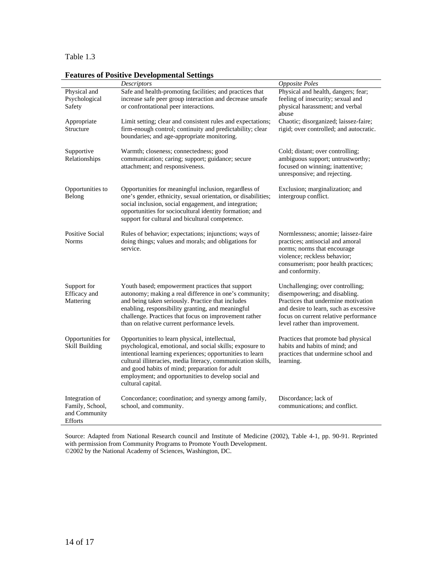#### Table 1.3

| reatures of I ositive Developmental Settings                         |                                                                                                                                                                                                                                                                                                                                                                      |                                                                                                                                                                                                                               |  |
|----------------------------------------------------------------------|----------------------------------------------------------------------------------------------------------------------------------------------------------------------------------------------------------------------------------------------------------------------------------------------------------------------------------------------------------------------|-------------------------------------------------------------------------------------------------------------------------------------------------------------------------------------------------------------------------------|--|
|                                                                      | <i>Descriptors</i>                                                                                                                                                                                                                                                                                                                                                   | <b>Opposite Poles</b>                                                                                                                                                                                                         |  |
| Physical and<br>Psychological<br>Safety                              | Safe and health-promoting facilities; and practices that<br>increase safe peer group interaction and decrease unsafe<br>or confrontational peer interactions.                                                                                                                                                                                                        | Physical and health, dangers; fear;<br>feeling of insecurity; sexual and<br>physical harassment; and verbal<br>abuse                                                                                                          |  |
| Appropriate<br>Structure                                             | Limit setting; clear and consistent rules and expectations;<br>firm-enough control; continuity and predictability; clear<br>boundaries; and age-appropriate monitoring.                                                                                                                                                                                              | Chaotic; disorganized; laissez-faire;<br>rigid; over controlled; and autocratic.                                                                                                                                              |  |
| Supportive<br>Relationships                                          | Warmth; closeness; connectedness; good<br>communication; caring; support; guidance; secure<br>attachment; and responsiveness.                                                                                                                                                                                                                                        | Cold; distant; over controlling;<br>ambiguous support; untrustworthy;<br>focused on winning; inattentive;<br>unresponsive; and rejecting.                                                                                     |  |
| Opportunities to<br>Belong                                           | Opportunities for meaningful inclusion, regardless of<br>one's gender, ethnicity, sexual orientation, or disabilities;<br>social inclusion, social engagement, and integration;<br>opportunities for sociocultural identity formation; and<br>support for cultural and bicultural competence.                                                                        | Exclusion; marginalization; and<br>intergroup conflict.                                                                                                                                                                       |  |
| <b>Positive Social</b><br><b>Norms</b>                               | Rules of behavior; expectations; injunctions; ways of<br>doing things; values and morals; and obligations for<br>service.                                                                                                                                                                                                                                            | Normlessness; anomie; laissez-faire<br>practices; antisocial and amoral<br>norms; norms that encourage<br>violence; reckless behavior;<br>consumerism; poor health practices;<br>and conformity.                              |  |
| Support for<br>Efficacy and<br>Mattering                             | Youth based; empowerment practices that support<br>autonomy; making a real difference in one's community;<br>and being taken seriously. Practice that includes<br>enabling, responsibility granting, and meaningful<br>challenge. Practices that focus on improvement rather<br>than on relative current performance levels.                                         | Unchallenging; over controlling;<br>disempowering; and disabling.<br>Practices that undermine motivation<br>and desire to learn, such as excessive<br>focus on current relative performance<br>level rather than improvement. |  |
| Opportunities for<br><b>Skill Building</b>                           | Opportunities to learn physical, intellectual,<br>psychological, emotional, and social skills; exposure to<br>intentional learning experiences; opportunities to learn<br>cultural illiteracies, media literacy, communication skills,<br>and good habits of mind; preparation for adult<br>employment; and opportunities to develop social and<br>cultural capital. | Practices that promote bad physical<br>habits and habits of mind; and<br>practices that undermine school and<br>learning.                                                                                                     |  |
| Integration of<br>Family, School,<br>and Community<br><b>Efforts</b> | Concordance; coordination; and synergy among family,<br>school, and community.                                                                                                                                                                                                                                                                                       | Discordance; lack of<br>communications; and conflict.                                                                                                                                                                         |  |

### **Features of Positive Developmental Settings**

Source: Adapted from National Research council and Institute of Medicine (2002), Table 4-1, pp. 90-91. Reprinted with permission from Community Programs to Promote Youth Development. ©2002 by the National Academy of Sciences, Washington, DC.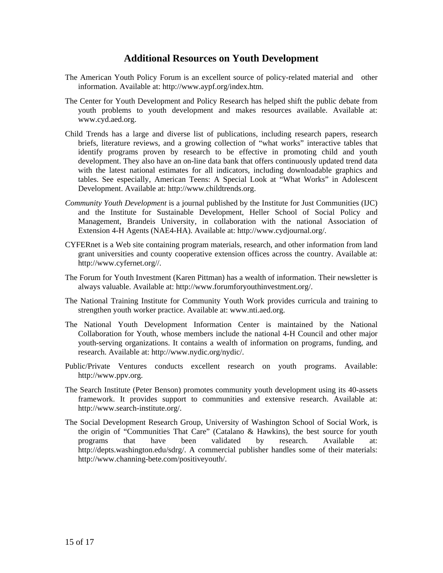### **Additional Resources on Youth Development**

- The American Youth Policy Forum is an excellent source of policy-related material and other information. Available at: [http://www.aypf.org/index.htm.](http://www.aypf.org/index.htm)
- The Center for Youth Development and Policy Research has helped shift the public debate from youth problems to youth development and makes resources available. Available at: [www.cyd.aed.org.](http://www.cyd.aed.org/)
- Child Trends has a large and diverse list of publications, including research papers, research briefs, literature reviews, and a growing collection of "what works" interactive tables that identify programs proven by research to be effective in promoting child and youth development. They also have an on-line data bank that offers continuously updated trend data with the latest national estimates for all indicators, including downloadable graphics and tables. See especially, American Teens: A Special Look at "What Works" in Adolescent Development. Available at: [http://www.childtrends.org](http://www.childtrends.org/).
- *Community Youth Development* is a journal published by the Institute for Just Communities (IJC) and the Institute for Sustainable Development, Heller School of Social Policy and Management, Brandeis University, in collaboration with the national Association of Extension 4-H Agents (NAE4-HA). Available at: [http://www.cydjournal.org/.](http://www.cydjournal.org/)
- CYFERnet is a Web site containing program materials, research, and other information from land grant universities and county cooperative extension offices across the country. Available at: <http://www.cyfernet.org//>.
- The Forum for Youth Investment (Karen Pittman) has a wealth of information. Their newsletter is always valuable. Available at: [http://www.forumforyouthinvestment.org/.](http://www.forumforyouthinvestment.org/)
- The National Training Institute for Community Youth Work provides curricula and training to strengthen youth worker practice. Available at: [www.nti.aed.org.](http://www.nti.aed.org/)
- The National Youth Development Information Center is maintained by the National Collaboration for Youth, whose members include the national 4-H Council and other major youth-serving organizations. It contains a wealth of information on programs, funding, and research. Available at: [http://www.nydic.org/nydic/.](http://www.nydic.org/nydic/)
- Public/Private Ventures conducts excellent research on youth programs. Available: [http://www.ppv.org.](http://www.ppv.org/)
- The Search Institute (Peter Benson) promotes community youth development using its 40-assets framework. It provides support to communities and extensive research. Available at: [http://www.search-institute.org/.](http://www.search-institute.org/)
- The Social Development Research Group, University of Washington School of Social Work, is the origin of "Communities That Care" (Catalano & Hawkins), the best source for youth programs that have been validated by research. Available at: [http://depts.washington.edu/sdrg/.](http://depts.washington.edu/sdrg/) A commercial publisher handles some of their materials: [http://www.channing-bete.com/positiveyouth/.](http://www.channing-bete.com/positiveyouth/)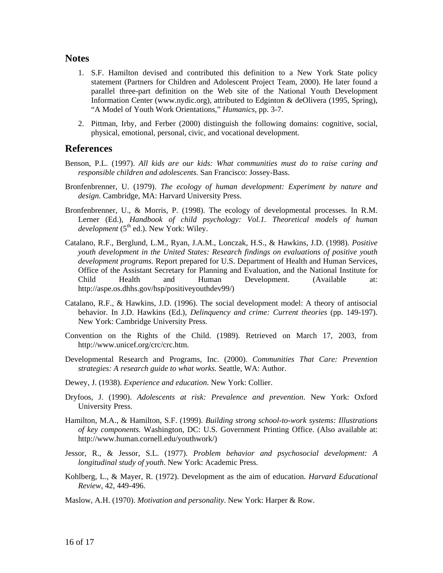#### **Notes**

- 1. S.F. Hamilton devised and contributed this definition to a New York State policy statement (Partners for Children and Adolescent Project Team, 2000). He later found a parallel three-part definition on the Web site of the National Youth Development Information Center ([www.nydic.org](http://www.nydic.org/)), attributed to Edginton & deOlivera (1995, Spring), "A Model of Youth Work Orientations," *Humanics*, pp. 3-7.
- 2. Pittman, Irby, and Ferber (2000) distinguish the following domains: cognitive, social, physical, emotional, personal, civic, and vocational development.

### **References**

- Benson, P.L. (1997). *All kids are our kids: What communities must do to raise caring and responsible children and adolescents*. San Francisco: Jossey-Bass.
- Bronfenbrenner, U. (1979). *The ecology of human development: Experiment by nature and design*. Cambridge, MA: Harvard University Press.
- Bronfenbrenner, U., & Morris, P. (1998). The ecology of developmental processes. In R.M. Lerner (Ed.), *Handbook of child psychology: Vol.1. Theoretical models of human development* (5<sup>th</sup> ed.). New York: Wiley.
- Catalano, R.F., Berglund, L.M., Ryan, J.A.M., Lonczak, H.S., & Hawkins, J.D. (1998). *Positive youth development in the United States: Research findings on evaluations of positive youth development programs.* Report prepared for U.S. Department of Health and Human Services, Office of the Assistant Secretary for Planning and Evaluation, and the National Institute for Child Health and Human Development. (Available at: <http://aspe.os.dhhs.gov/hsp/positiveyouthdev99/>)
- Catalano, R.F., & Hawkins, J.D. (1996). The social development model: A theory of antisocial behavior. In J.D. Hawkins (Ed.), *Delinquency and crime: Current theories* (pp. 149-197). New York: Cambridge University Press.
- Convention on the Rights of the Child. (1989). Retrieved on March 17, 2003, from [http://www.unicef.org/crc/crc.htm.](http://www.unicef.org/crc/crc.htm)
- Developmental Research and Programs, Inc. (2000). *Communities That Care: Prevention strategies: A research guide to what works.* Seattle, WA: Author.
- Dewey, J. (1938). *Experience and education*. New York: Collier.
- Dryfoos, J. (1990). *Adolescents at risk: Prevalence and prevention*. New York: Oxford University Press.
- Hamilton, M.A., & Hamilton, S.F. (1999). *Building strong school-to-work systems: Illustrations of key components.* Washington, DC: U.S. Government Printing Office. (Also available at: [http://www.human.cornell.edu/youthwork/\)](http://www.human.cornell.edu/youthwork/)
- Jessor, R., & Jessor, S.L. (1977). *Problem behavior and psychosocial development: A longitudinal study of youth*. New York: Academic Press.
- Kohlberg, L., & Mayer, R. (1972). Development as the aim of education. *Harvard Educational Review*, 42, 449-496.
- Maslow, A.H. (1970). *Motivation and personality*. New York: Harper & Row.